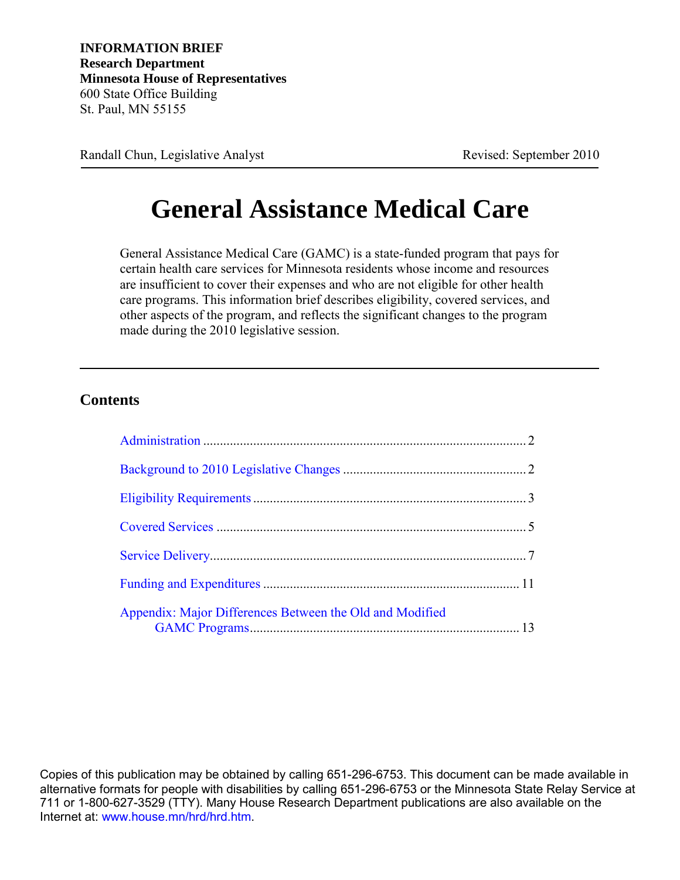**INFORMATION BRIEF Research Department Minnesota House of Representatives** 600 State Office Building St. Paul, MN 55155

Randall Chun, Legislative Analyst Revised: September 2010

# **General Assistance Medical Care**

General Assistance Medical Care (GAMC) is a state-funded program that pays for certain health care services for Minnesota residents whose income and resources are insufficient to cover their expenses and who are not eligible for other health care programs. This information brief describes eligibility, covered services, and other aspects of the program, and reflects the significant changes to the program made during the 2010 legislative session.

#### **Contents**

| Appendix: Major Differences Between the Old and Modified |  |
|----------------------------------------------------------|--|

Copies of this publication may be obtained by calling 651-296-6753. This document can be made available in alternative formats for people with disabilities by calling 651-296-6753 or the Minnesota State Relay Service at 711 or 1-800-627-3529 (TTY). Many House Research Department publications are also available on the Internet at: www.house.mn/hrd/hrd.htm.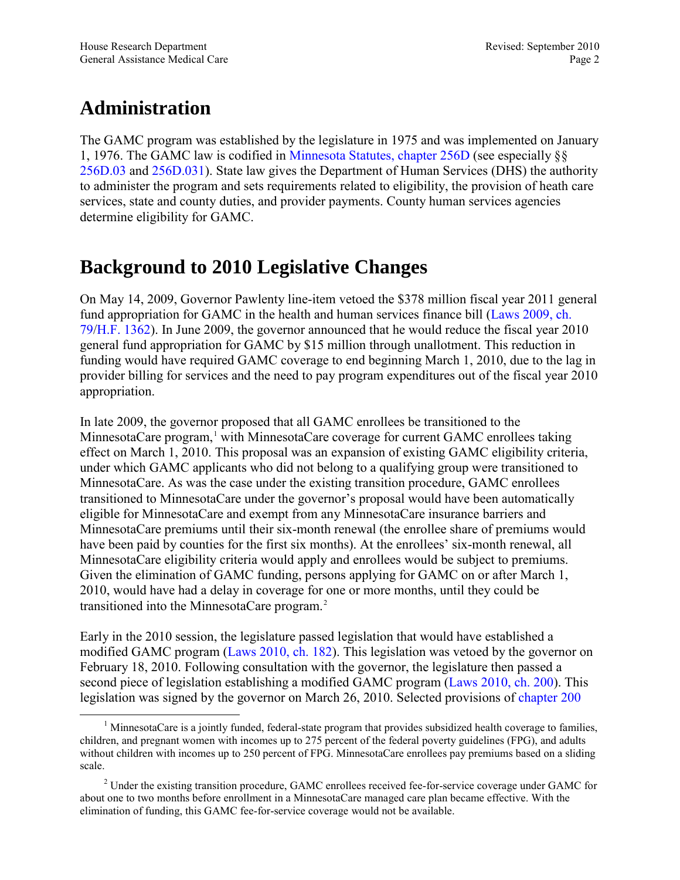## <span id="page-1-2"></span><span id="page-1-0"></span>**Administration**

The GAMC program was established by the legislature in 1975 and was implemented on January 1, 1976. The GAMC law is codified in [Minnesota Statutes, chapter 256D](https://www.revisor.mn.gov/statutes/?id=256D) (see especially §§ [256D.03](https://www.revisor.mn.gov/statutes/?id=256D.03) and [256D.031](https://www.revisor.mn.gov/statutes/?id=256D.031)). State law gives the Department of Human Services (DHS) the authority to administer the program and sets requirements related to eligibility, the provision of heath care services, state and county duties, and provider payments. County human services agencies determine eligibility for GAMC.

## <span id="page-1-1"></span>**Background to 2010 Legislative Changes**

On May 14, 2009, Governor Pawlenty line-item vetoed the \$378 million fiscal year 2011 general fund appropriation for GAMC in the health and human services finance bill ([Laws 2009, ch.](https://www.revisor.mn.gov/laws/?id=79&doctype=Chapter&year=2009&type=0) [79/H.F. 1362](https://www.revisor.mn.gov/laws/?id=79&doctype=Chapter&year=2009&type=0)). In June 2009, the governor announced that he would reduce the fiscal year 2010 general fund appropriation for GAMC by \$15 million through unallotment. This reduction in funding would have required GAMC coverage to end beginning March 1, 2010, due to the lag in provider billing for services and the need to pay program expenditures out of the fiscal year 2010 appropriation.

In late 2009, the governor proposed that all GAMC enrollees be transitioned to the MinnesotaCare program,<sup>[1](#page-1-3)</sup> with MinnesotaCare coverage for current GAMC enrollees taking effect on March 1, 2010. This proposal was an expansion of existing GAMC eligibility criteria, under which GAMC applicants who did not belong to a qualifying group were transitioned to MinnesotaCare. As was the case under the existing transition procedure, GAMC enrollees transitioned to MinnesotaCare under the governor's proposal would have been automatically eligible for MinnesotaCare and exempt from any MinnesotaCare insurance barriers and MinnesotaCare premiums until their six-month renewal (the enrollee share of premiums would have been paid by counties for the first six months). At the enrollees' six-month renewal, all MinnesotaCare eligibility criteria would apply and enrollees would be subject to premiums. Given the elimination of GAMC funding, persons applying for GAMC on or after March 1, 2010, would have had a delay in coverage for one or more months, until they could be transitioned into the MinnesotaCare program.<sup>[2](#page-1-4)</sup>

Early in the 2010 session, the legislature passed legislation that would have established a modified GAMC program [\(Laws 2010, ch. 182\)](https://www.revisor.mn.gov/laws/?id=182&doctype=Chapter&year=2010&type=0). This legislation was vetoed by the governor on February 18, 2010. Following consultation with the governor, the legislature then passed a second piece of legislation establishing a modified GAMC program [\(Laws 2010, ch. 200\)](https://www.revisor.mn.gov/laws/?id=200&doctype=Chapter&year=2010&type=0). This legislation was signed by the governor on March 26, 2010. Selected provisions of [chapter 200](https://www.revisor.mn.gov/laws/?id=200&doctype=Chapter&year=2010&type=0)

<span id="page-1-3"></span><sup>&</sup>lt;sup>1</sup> MinnesotaCare is a jointly funded, federal-state program that provides subsidized health coverage to families, children, and pregnant women with incomes up to 275 percent of the federal poverty guidelines (FPG), and adults without children with incomes up to 250 percent of FPG. MinnesotaCare enrollees pay premiums based on a sliding scale.

<span id="page-1-4"></span><sup>&</sup>lt;sup>2</sup> Under the existing transition procedure, GAMC enrollees received fee-for-service coverage under GAMC for about one to two months before enrollment in a MinnesotaCare managed care plan became effective. With the elimination of funding, this GAMC fee-for-service coverage would not be available.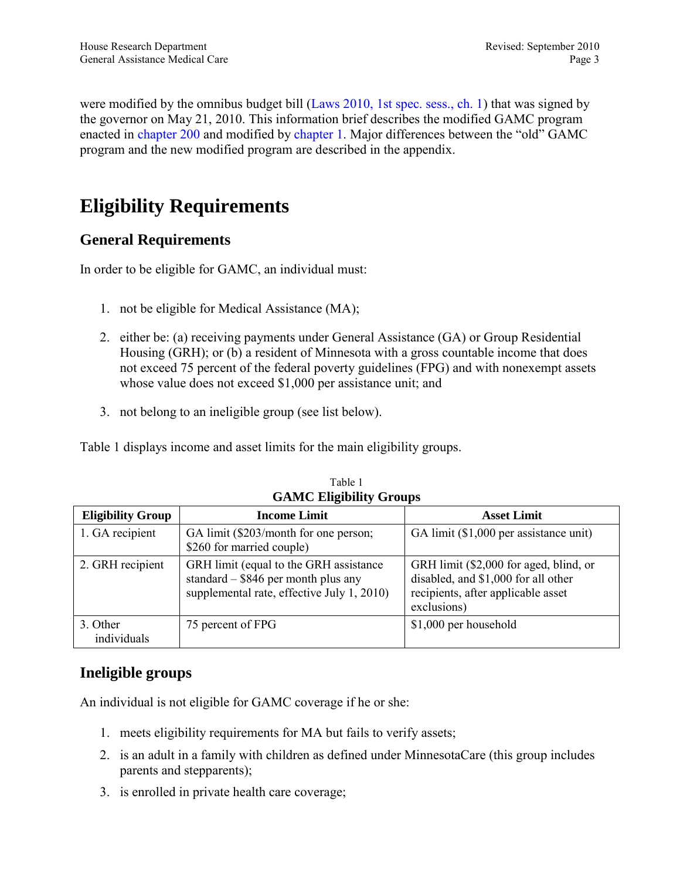<span id="page-2-1"></span>were modified by the omnibus budget bill [\(Laws 2010, 1st spec. sess., ch. 1\)](https://www.revisor.mn.gov/laws/?id=1&doctype=Chapter&year=2010&type=1) that was signed by the governor on May 21, 2010. This information brief describes the modified GAMC program enacted in [chapter 200](https://www.revisor.mn.gov/laws/?id=200&doctype=Chapter&year=2010&type=0) and modified by [chapter 1](https://www.revisor.mn.gov/laws/?id=1&doctype=Chapter&year=2010&type=1). Major differences between the "old" GAMC program and the new modified program are described in the appendix.

## <span id="page-2-0"></span>**Eligibility Requirements**

#### **General Requirements**

In order to be eligible for GAMC, an individual must:

- 1. not be eligible for Medical Assistance (MA);
- 2. either be: (a) receiving payments under General Assistance (GA) or Group Residential Housing (GRH); or (b) a resident of Minnesota with a gross countable income that does not exceed 75 percent of the federal poverty guidelines (FPG) and with nonexempt assets whose value does not exceed \$1,000 per assistance unit; and
- 3. not belong to an ineligible group (see list below).

Table 1 displays income and asset limits for the main eligibility groups.

| OTHER LINGTONITY OF OURSE |                                                                                                                               |                                                                                                                                    |  |
|---------------------------|-------------------------------------------------------------------------------------------------------------------------------|------------------------------------------------------------------------------------------------------------------------------------|--|
| <b>Eligibility Group</b>  | <b>Income Limit</b>                                                                                                           | <b>Asset Limit</b>                                                                                                                 |  |
| 1. GA recipient           | GA limit (\$203/month for one person;<br>\$260 for married couple)                                                            | GA limit (\$1,000 per assistance unit)                                                                                             |  |
| 2. GRH recipient          | GRH limit (equal to the GRH assistance<br>standard $-$ \$846 per month plus any<br>supplemental rate, effective July 1, 2010) | GRH limit (\$2,000 for aged, blind, or<br>disabled, and \$1,000 for all other<br>recipients, after applicable asset<br>exclusions) |  |
| 3. Other<br>individuals   | 75 percent of FPG                                                                                                             | \$1,000 per household                                                                                                              |  |

Table 1 **GAMC Eligibility Groups**

### **Ineligible groups**

An individual is not eligible for GAMC coverage if he or she:

- 1. meets eligibility requirements for MA but fails to verify assets;
- 2. is an adult in a family with children as defined under MinnesotaCare (this group includes parents and stepparents);
- 3. is enrolled in private health care coverage;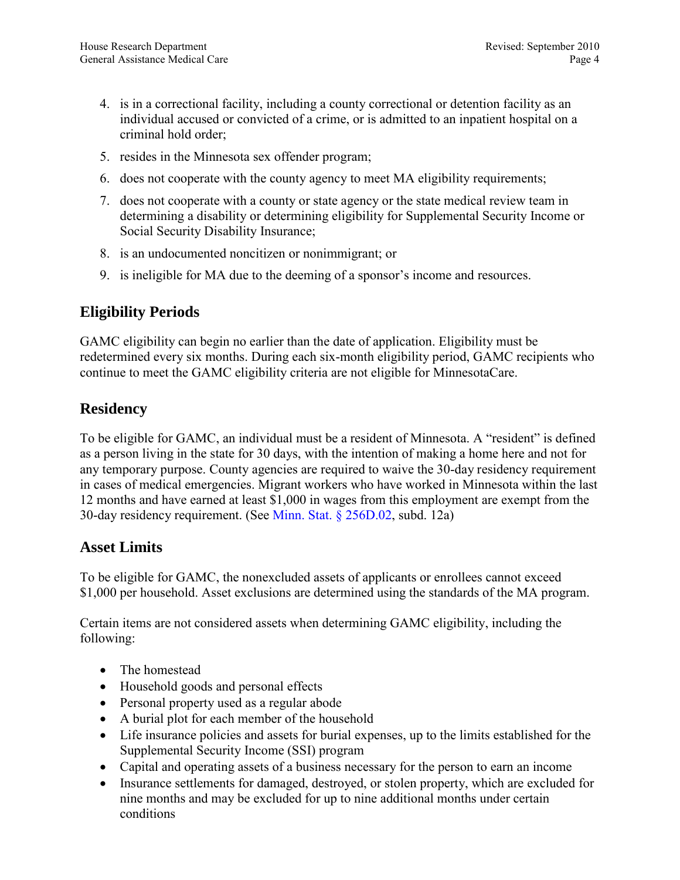- 4. is in a correctional facility, including a county correctional or detention facility as an individual accused or convicted of a crime, or is admitted to an inpatient hospital on a criminal hold order;
- 5. resides in the Minnesota sex offender program;
- 6. does not cooperate with the county agency to meet MA eligibility requirements;
- 7. does not cooperate with a county or state agency or the state medical review team in determining a disability or determining eligibility for Supplemental Security Income or Social Security Disability Insurance;
- 8. is an undocumented noncitizen or nonimmigrant; or
- 9. is ineligible for MA due to the deeming of a sponsor's income and resources.

#### **Eligibility Periods**

GAMC eligibility can begin no earlier than the date of application. Eligibility must be redetermined every six months. During each six-month eligibility period, GAMC recipients who continue to meet the GAMC eligibility criteria are not eligible for MinnesotaCare.

### **Residency**

To be eligible for GAMC, an individual must be a resident of Minnesota. A "resident" is defined as a person living in the state for 30 days, with the intention of making a home here and not for any temporary purpose. County agencies are required to waive the 30-day residency requirement in cases of medical emergencies. Migrant workers who have worked in Minnesota within the last 12 months and have earned at least \$1,000 in wages from this employment are exempt from the 30-day residency requirement. (See [Minn. Stat. § 256D.02,](https://www.revisor.mn.gov/statutes/?id=256D.02) subd. 12a)

#### **Asset Limits**

To be eligible for GAMC, the nonexcluded assets of applicants or enrollees cannot exceed \$1,000 per household. Asset exclusions are determined using the standards of the MA program.

Certain items are not considered assets when determining GAMC eligibility, including the following:

- The homestead
- Household goods and personal effects
- Personal property used as a regular abode
- A burial plot for each member of the household
- Life insurance policies and assets for burial expenses, up to the limits established for the Supplemental Security Income (SSI) program
- Capital and operating assets of a business necessary for the person to earn an income
- Insurance settlements for damaged, destroved, or stolen property, which are excluded for nine months and may be excluded for up to nine additional months under certain conditions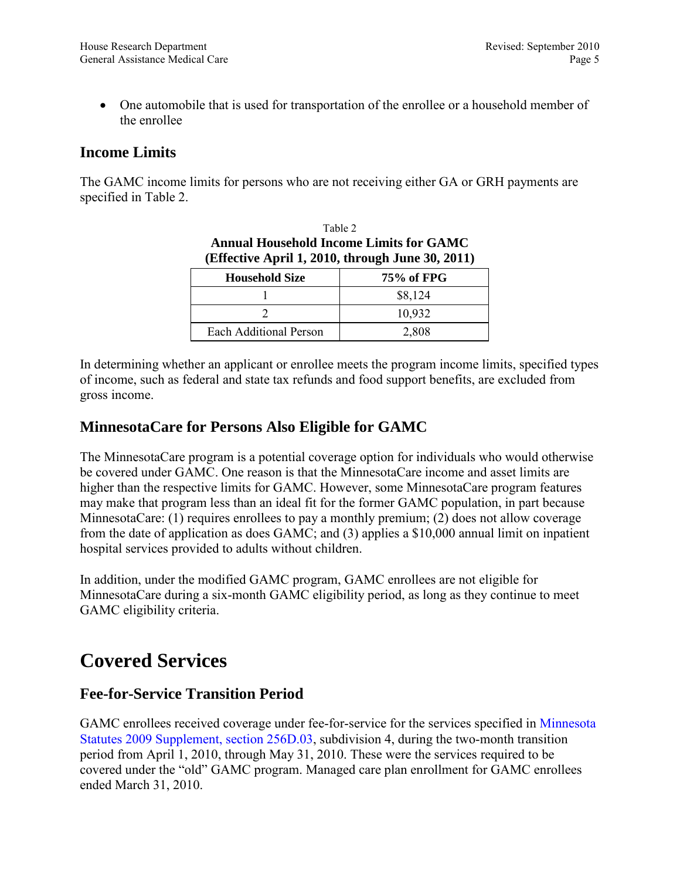<span id="page-4-1"></span>• One automobile that is used for transportation of the enrollee or a household member of the enrollee

#### **Income Limits**

The GAMC income limits for persons who are not receiving either GA or GRH payments are specified in Table 2.

| <b>Annual Household Income Limits for GAMC</b><br>(Effective April 1, 2010, through June 30, 2011) |            |  |
|----------------------------------------------------------------------------------------------------|------------|--|
| <b>Household Size</b>                                                                              | 75% of FPG |  |
|                                                                                                    | \$8,124    |  |
|                                                                                                    | 10,932     |  |
| Each Additional Person                                                                             | 2.808      |  |

Table 2

In determining whether an applicant or enrollee meets the program income limits, specified types of income, such as federal and state tax refunds and food support benefits, are excluded from gross income.

#### **MinnesotaCare for Persons Also Eligible for GAMC**

The MinnesotaCare program is a potential coverage option for individuals who would otherwise be covered under GAMC. One reason is that the MinnesotaCare income and asset limits are higher than the respective limits for GAMC. However, some MinnesotaCare program features may make that program less than an ideal fit for the former GAMC population, in part because MinnesotaCare: (1) requires enrollees to pay a monthly premium; (2) does not allow coverage from the date of application as does GAMC; and (3) applies a \$10,000 annual limit on inpatient hospital services provided to adults without children.

In addition, under the modified GAMC program, GAMC enrollees are not eligible for MinnesotaCare during a six-month GAMC eligibility period, as long as they continue to meet GAMC eligibility criteria.

### <span id="page-4-0"></span>**Covered Services**

#### **Fee-for-Service Transition Period**

GAMC enrollees received coverage under fee-for-service for the services specified in [Minnesota](https://www.revisor.mn.gov/statutes/?id=256D.03)  [Statutes 2009 Supplement, section 256D.03,](https://www.revisor.mn.gov/statutes/?id=256D.03) subdivision 4, during the two-month transition period from April 1, 2010, through May 31, 2010. These were the services required to be covered under the "old" GAMC program. Managed care plan enrollment for GAMC enrollees ended March 31, 2010.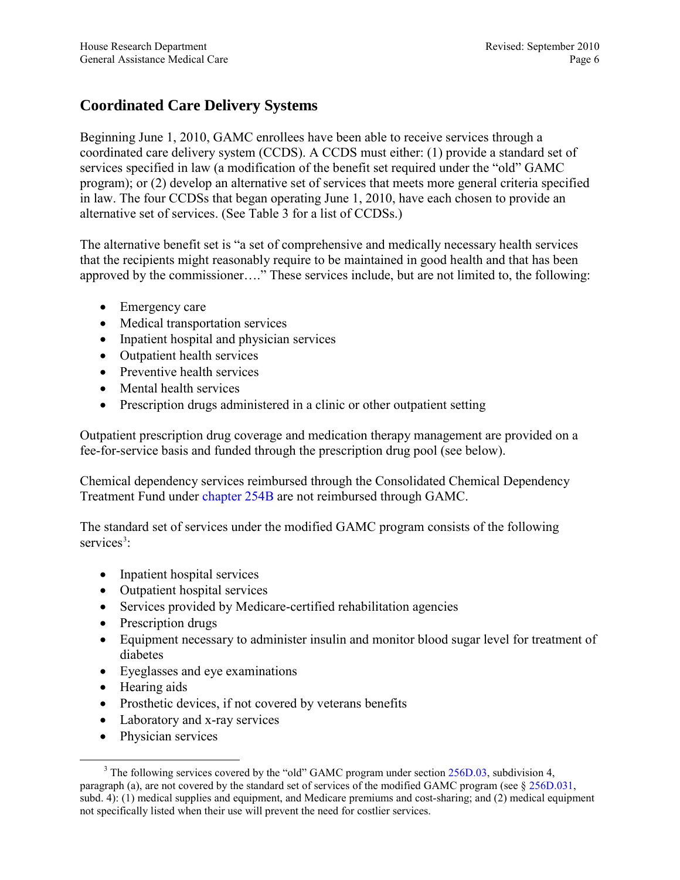### **Coordinated Care Delivery Systems**

Beginning June 1, 2010, GAMC enrollees have been able to receive services through a coordinated care delivery system (CCDS). A CCDS must either: (1) provide a standard set of services specified in law (a modification of the benefit set required under the "old" GAMC program); or (2) develop an alternative set of services that meets more general criteria specified in law. The four CCDSs that began operating June 1, 2010, have each chosen to provide an alternative set of services. (See Table 3 for a list of CCDSs.)

The alternative benefit set is "a set of comprehensive and medically necessary health services that the recipients might reasonably require to be maintained in good health and that has been approved by the commissioner…." These services include, but are not limited to, the following:

- Emergency care
- Medical transportation services
- Inpatient hospital and physician services
- Outpatient health services
- Preventive health services
- Mental health services
- Prescription drugs administered in a clinic or other outpatient setting

Outpatient prescription drug coverage and medication therapy management are provided on a fee-for-service basis and funded through the prescription drug pool (see below).

Chemical dependency services reimbursed through the Consolidated Chemical Dependency Treatment Fund unde[r chapter 254B a](https://www.revisor.mn.gov/statutes/?id=254B)re not reimbursed through GAMC.

The standard set of services under the modified GAMC program consists of the following services<sup>[3](#page-5-0)</sup>:

- Inpatient hospital services
- Outpatient hospital services
- Services provided by Medicare-certified rehabilitation agencies
- Prescription drugs
- Equipment necessary to administer insulin and monitor blood sugar level for treatment of diabetes
- Eyeglasses and eye examinations
- Hearing aids
- Prosthetic devices, if not covered by veterans benefits
- Laboratory and x-ray services
- Physician services

<span id="page-5-0"></span> $3$  The following services covered by the "old" GAMC program under section  $256D.03$ , subdivision 4, paragraph (a), are not covered by the standard set of services of the modified GAMC program (see [§ 256D.031,](https://www.revisor.mn.gov/statutes/?id=256D.031)  subd. 4): (1) medical supplies and equipment, and Medicare premiums and cost-sharing; and (2) medical equipment not specifically listed when their use will prevent the need for costlier services.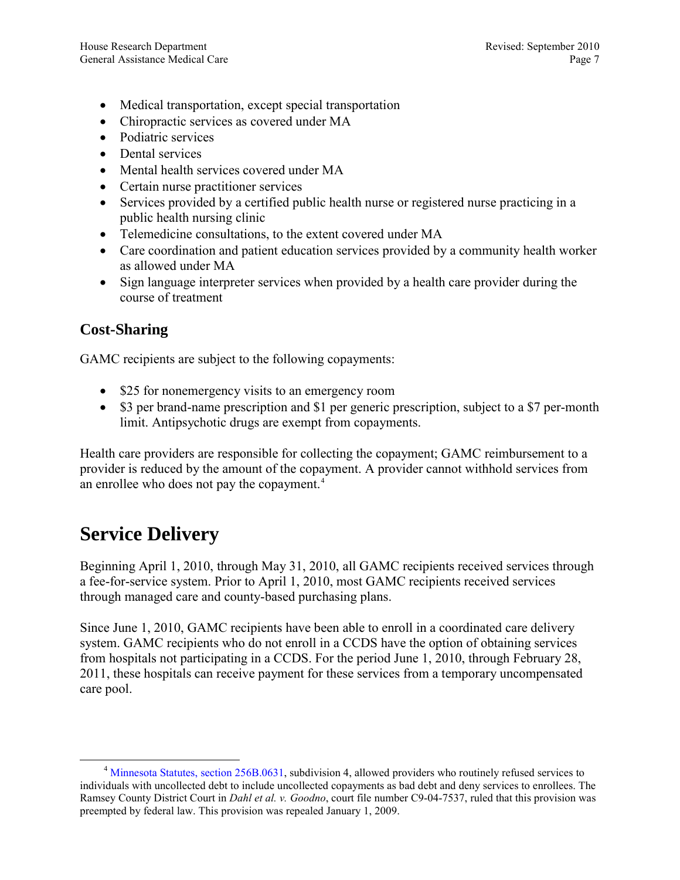- <span id="page-6-1"></span>• Medical transportation, except special transportation
- Chiropractic services as covered under MA
- Podiatric services
- Dental services
- Mental health services covered under MA
- Certain nurse practitioner services
- Services provided by a certified public health nurse or registered nurse practicing in a public health nursing clinic
- Telemedicine consultations, to the extent covered under MA
- Care coordination and patient education services provided by a community health worker as allowed under MA
- Sign language interpreter services when provided by a health care provider during the course of treatment

#### **Cost-Sharing**

GAMC recipients are subject to the following copayments:

- \$25 for nonemergency visits to an emergency room
- \$3 per brand-name prescription and \$1 per generic prescription, subject to a \$7 per-month limit. Antipsychotic drugs are exempt from copayments.

Health care providers are responsible for collecting the copayment; GAMC reimbursement to a provider is reduced by the amount of the copayment. A provider cannot withhold services from an enrollee who does not pay the copayment.<sup>[4](#page-6-2)</sup>

### <span id="page-6-0"></span>**Service Delivery**

Beginning April 1, 2010, through May 31, 2010, all GAMC recipients received services through a fee-for-service system. Prior to April 1, 2010, most GAMC recipients received services through managed care and county-based purchasing plans.

Since June 1, 2010, GAMC recipients have been able to enroll in a coordinated care delivery system. GAMC recipients who do not enroll in a CCDS have the option of obtaining services from hospitals not participating in a CCDS. For the period June 1, 2010, through February 28, 2011, these hospitals can receive payment for these services from a temporary uncompensated care pool.

<span id="page-6-2"></span><sup>&</sup>lt;sup>4</sup> [Minnesota Statutes, section 256B.0631,](https://www.revisor.mn.gov/statutes/?id=256B.0631) subdivision 4, allowed providers who routinely refused services to individuals with uncollected debt to include uncollected copayments as bad debt and deny services to enrollees. The Ramsey County District Court in *Dahl et al. v. Goodno*, court file number C9-04-7537, ruled that this provision was preempted by federal law. This provision was repealed January 1, 2009.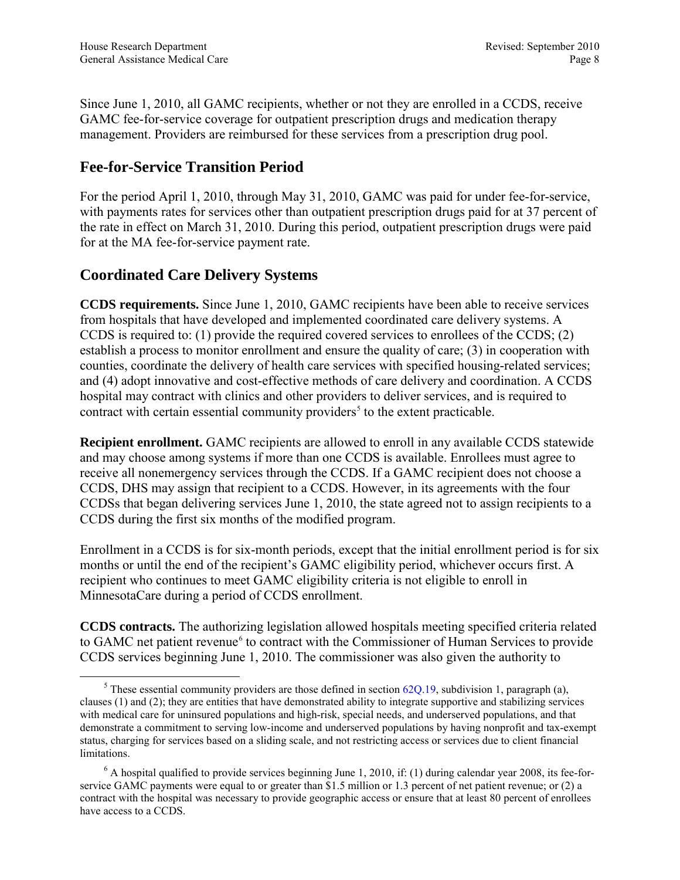Since June 1, 2010, all GAMC recipients, whether or not they are enrolled in a CCDS, receive GAMC fee-for-service coverage for outpatient prescription drugs and medication therapy management. Providers are reimbursed for these services from a prescription drug pool.

#### **Fee-for-Service Transition Period**

For the period April 1, 2010, through May 31, 2010, GAMC was paid for under fee-for-service, with payments rates for services other than outpatient prescription drugs paid for at 37 percent of the rate in effect on March 31, 2010. During this period, outpatient prescription drugs were paid for at the MA fee-for-service payment rate.

#### **Coordinated Care Delivery Systems**

**CCDS requirements.** Since June 1, 2010, GAMC recipients have been able to receive services from hospitals that have developed and implemented coordinated care delivery systems. A CCDS is required to: (1) provide the required covered services to enrollees of the CCDS; (2) establish a process to monitor enrollment and ensure the quality of care; (3) in cooperation with counties, coordinate the delivery of health care services with specified housing-related services; and (4) adopt innovative and cost-effective methods of care delivery and coordination. A CCDS hospital may contract with clinics and other providers to deliver services, and is required to contract with certain essential community providers<sup> $5$ </sup> to the extent practicable.

**Recipient enrollment.** GAMC recipients are allowed to enroll in any available CCDS statewide and may choose among systems if more than one CCDS is available. Enrollees must agree to receive all nonemergency services through the CCDS. If a GAMC recipient does not choose a CCDS, DHS may assign that recipient to a CCDS. However, in its agreements with the four CCDSs that began delivering services June 1, 2010, the state agreed not to assign recipients to a CCDS during the first six months of the modified program.

Enrollment in a CCDS is for six-month periods, except that the initial enrollment period is for six months or until the end of the recipient's GAMC eligibility period, whichever occurs first. A recipient who continues to meet GAMC eligibility criteria is not eligible to enroll in MinnesotaCare during a period of CCDS enrollment.

**CCDS contracts.** The authorizing legislation allowed hospitals meeting specified criteria related to GAMC net patient revenue<sup>[6](#page-7-1)</sup> to contract with the Commissioner of Human Services to provide CCDS services beginning June 1, 2010. The commissioner was also given the authority to

<span id="page-7-0"></span><sup>&</sup>lt;sup>5</sup> These essential community providers are those defined in section  $62Q.19$ , subdivision 1, paragraph (a), clauses (1) and (2); they are entities that have demonstrated ability to integrate supportive and stabilizing services with medical care for uninsured populations and high-risk, special needs, and underserved populations, and that demonstrate a commitment to serving low-income and underserved populations by having nonprofit and tax-exempt status, charging for services based on a sliding scale, and not restricting access or services due to client financial limitations.

<span id="page-7-1"></span> $6$  A hospital qualified to provide services beginning June 1, 2010, if: (1) during calendar year 2008, its fee-forservice GAMC payments were equal to or greater than \$1.5 million or 1.3 percent of net patient revenue; or (2) a contract with the hospital was necessary to provide geographic access or ensure that at least 80 percent of enrollees have access to a CCDS.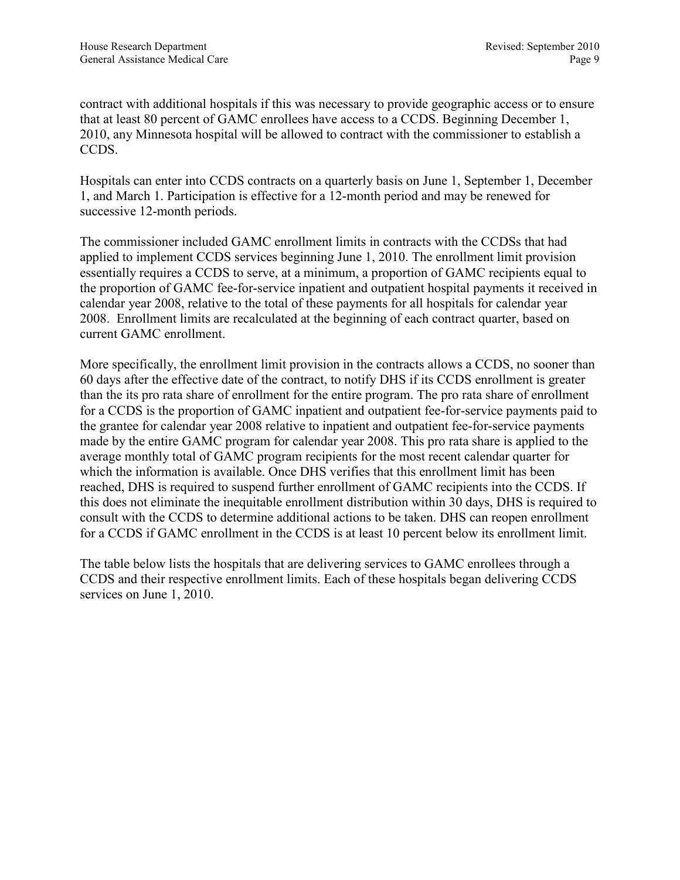contract with additional hospitals if this was necessary to provide geographic access or to ensure that at least 80 percent of GAMC enrollees have access to a CCDS. Beginning December 1, 2010, any Minnesota hospital will be allowed to contract with the commissioner to establish a CCDS.

Hospitals can enter into CCDS contracts on a quarterly basis on June 1, September 1, December 1, and March 1. Participation is effective for a 12-month period and may be renewed for successive 12-month periods.

The commissioner included GAMC enrollment limits in contracts with the CCDSs that had applied to implement CCDS services beginning June 1, 2010. The enrollment limit provision essentially requires a CCDS to serve, at a minimum, a proportion of GAMC recipients equal to the proportion of GAMC fee-for-service inpatient and outpatient hospital payments it received in calendar year 2008, relative to the total of these payments for all hospitals for calendar year 2008. Enrollment limits are recalculated at the beginning of each contract quarter, based on current GAMC enrollment.

More specifically, the enrollment limit provision in the contracts allows a CCDS, no sooner than 60 days after the effective date of the contract, to notify DHS if its CCDS enrollment is greater than the its pro rata share of enrollment for the entire program. The pro rata share of enrollment for a CCDS is the proportion of GAMC inpatient and outpatient fee-for-service payments paid to the grantee for calendar year 2008 relative to inpatient and outpatient fee-for-service payments made by the entire GAMC program for calendar year 2008. This pro rata share is applied to the average monthly total of GAMC program recipients for the most recent calendar quarter for which the information is available. Once DHS verifies that this enrollment limit has been reached, DHS is required to suspend further enrollment of GAMC recipients into the CCDS. If this does not eliminate the inequitable enrollment distribution within 30 days, DHS is required to consult with the CCDS to determine additional actions to be taken. DHS can reopen enrollment for a CCDS if GAMC enrollment in the CCDS is at least 10 percent below its enrollment limit.

The table below lists the hospitals that are delivering services to GAMC enrollees through a CCDS and their respective enrollment limits. Each of these hospitals began delivering CCDS services on June 1, 2010.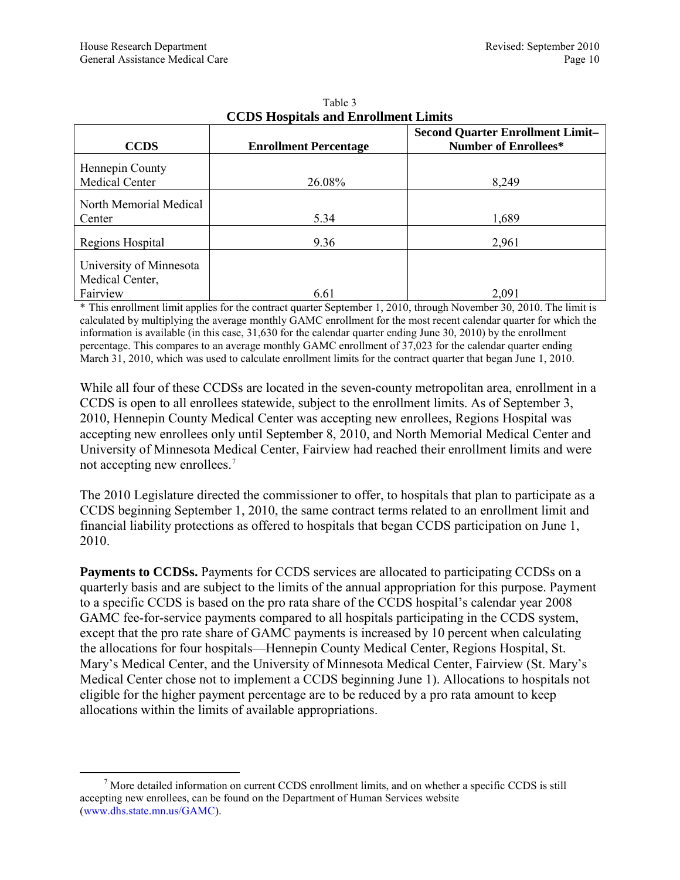| <b>CCDS</b>                                            | <b>Enrollment Percentage</b> | <b>Second Quarter Enrollment Limit-</b><br><b>Number of Enrollees*</b> |
|--------------------------------------------------------|------------------------------|------------------------------------------------------------------------|
| Hennepin County<br>Medical Center                      | 26.08%                       | 8,249                                                                  |
| North Memorial Medical<br>Center                       | 5.34                         | 1,689                                                                  |
| Regions Hospital                                       | 9.36                         | 2,961                                                                  |
| University of Minnesota<br>Medical Center,<br>Fairview | 6.61                         | 2,091                                                                  |

#### Table 3 **CCDS Hospitals and Enrollment Limits**

\* This enrollment limit applies for the contract quarter September 1, 2010, through November 30, 2010. The limit is calculated by multiplying the average monthly GAMC enrollment for the most recent calendar quarter for which the information is available (in this case, 31,630 for the calendar quarter ending June 30, 2010) by the enrollment percentage. This compares to an average monthly GAMC enrollment of 37,023 for the calendar quarter ending March 31, 2010, which was used to calculate enrollment limits for the contract quarter that began June 1, 2010.

While all four of these CCDSs are located in the seven-county metropolitan area, enrollment in a CCDS is open to all enrollees statewide, subject to the enrollment limits. As of September 3, 2010, Hennepin County Medical Center was accepting new enrollees, Regions Hospital was accepting new enrollees only until September 8, 2010, and North Memorial Medical Center and University of Minnesota Medical Center, Fairview had reached their enrollment limits and were not accepting new enrollees.[7](#page-9-0)

The 2010 Legislature directed the commissioner to offer, to hospitals that plan to participate as a CCDS beginning September 1, 2010, the same contract terms related to an enrollment limit and financial liability protections as offered to hospitals that began CCDS participation on June 1, 2010.

**Payments to CCDSs.** Payments for CCDS services are allocated to participating CCDSs on a quarterly basis and are subject to the limits of the annual appropriation for this purpose. Payment to a specific CCDS is based on the pro rata share of the CCDS hospital's calendar year 2008 GAMC fee-for-service payments compared to all hospitals participating in the CCDS system, except that the pro rate share of GAMC payments is increased by 10 percent when calculating the allocations for four hospitals—Hennepin County Medical Center, Regions Hospital, St. Mary's Medical Center, and the University of Minnesota Medical Center, Fairview (St. Mary's Medical Center chose not to implement a CCDS beginning June 1). Allocations to hospitals not eligible for the higher payment percentage are to be reduced by a pro rata amount to keep allocations within the limits of available appropriations.

<span id="page-9-0"></span> $<sup>7</sup>$  More detailed information on current CCDS enrollment limits, and on whether a specific CCDS is still</sup> accepting new enrollees, can be found on the Department of Human Services website (www.dhs.state.mn.us/GAMC).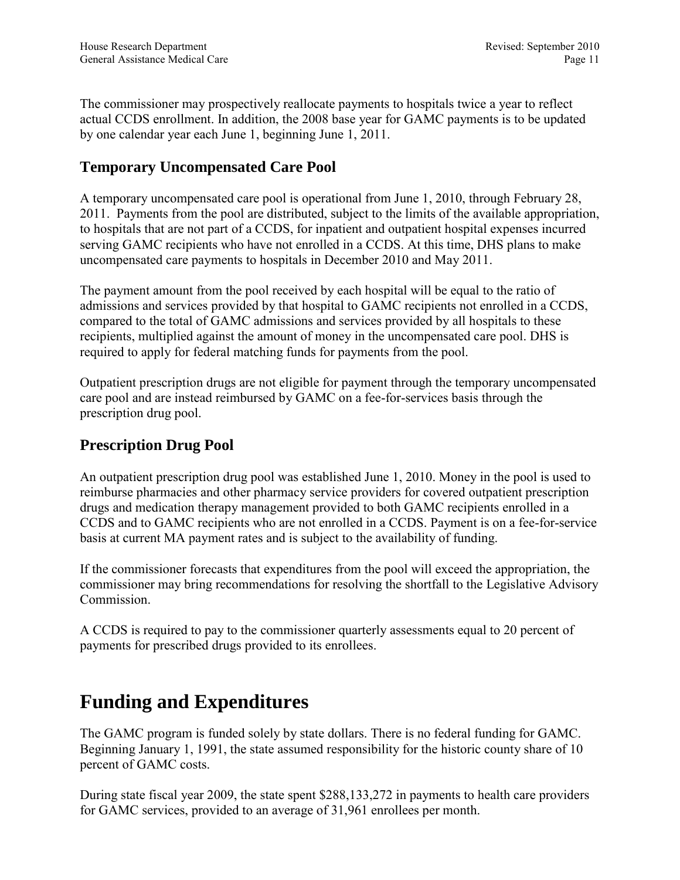<span id="page-10-1"></span>The commissioner may prospectively reallocate payments to hospitals twice a year to reflect actual CCDS enrollment. In addition, the 2008 base year for GAMC payments is to be updated by one calendar year each June 1, beginning June 1, 2011.

### **Temporary Uncompensated Care Pool**

A temporary uncompensated care pool is operational from June 1, 2010, through February 28, 2011. Payments from the pool are distributed, subject to the limits of the available appropriation, to hospitals that are not part of a CCDS, for inpatient and outpatient hospital expenses incurred serving GAMC recipients who have not enrolled in a CCDS. At this time, DHS plans to make uncompensated care payments to hospitals in December 2010 and May 2011.

The payment amount from the pool received by each hospital will be equal to the ratio of admissions and services provided by that hospital to GAMC recipients not enrolled in a CCDS, compared to the total of GAMC admissions and services provided by all hospitals to these recipients, multiplied against the amount of money in the uncompensated care pool. DHS is required to apply for federal matching funds for payments from the pool.

Outpatient prescription drugs are not eligible for payment through the temporary uncompensated care pool and are instead reimbursed by GAMC on a fee-for-services basis through the prescription drug pool.

#### **Prescription Drug Pool**

An outpatient prescription drug pool was established June 1, 2010. Money in the pool is used to reimburse pharmacies and other pharmacy service providers for covered outpatient prescription drugs and medication therapy management provided to both GAMC recipients enrolled in a CCDS and to GAMC recipients who are not enrolled in a CCDS. Payment is on a fee-for-service basis at current MA payment rates and is subject to the availability of funding.

If the commissioner forecasts that expenditures from the pool will exceed the appropriation, the commissioner may bring recommendations for resolving the shortfall to the Legislative Advisory Commission.

<span id="page-10-0"></span>A CCDS is required to pay to the commissioner quarterly assessments equal to 20 percent of payments for prescribed drugs provided to its enrollees.

### **Funding and Expenditures**

The GAMC program is funded solely by state dollars. There is no federal funding for GAMC. Beginning January 1, 1991, the state assumed responsibility for the historic county share of 10 percent of GAMC costs.

During state fiscal year 2009, the state spent \$288,133,272 in payments to health care providers for GAMC services, provided to an average of 31,961 enrollees per month.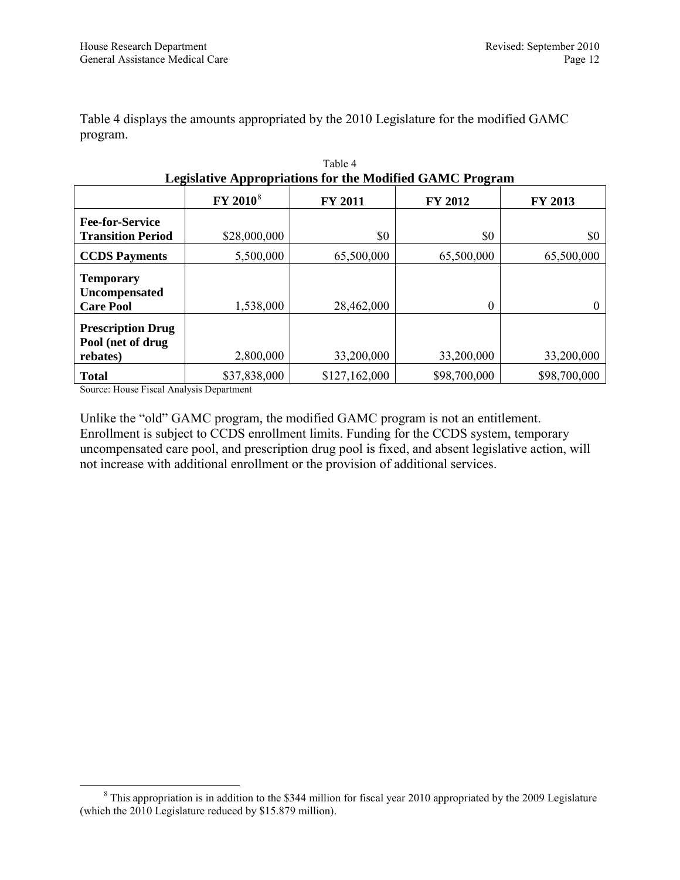Table 4 displays the amounts appropriated by the 2010 Legislature for the modified GAMC program.

| Legislative Appropriations for the Modified GAMC Program  |                      |                |                |              |
|-----------------------------------------------------------|----------------------|----------------|----------------|--------------|
|                                                           | FY 2010 <sup>8</sup> | <b>FY 2011</b> | <b>FY 2012</b> | FY 2013      |
| <b>Fee-for-Service</b>                                    |                      |                |                |              |
| <b>Transition Period</b>                                  | \$28,000,000         | \$0            | \$0            | \$0          |
| <b>CCDS Payments</b>                                      | 5,500,000            | 65,500,000     | 65,500,000     | 65,500,000   |
| <b>Temporary</b><br>Uncompensated<br><b>Care Pool</b>     | 1,538,000            | 28,462,000     | 0              |              |
| <b>Prescription Drug</b><br>Pool (net of drug<br>rebates) | 2,800,000            | 33,200,000     | 33,200,000     | 33,200,000   |
| <b>Total</b>                                              | \$37,838,000         | \$127,162,000  | \$98,700,000   | \$98,700,000 |

| Table 4                                                         |
|-----------------------------------------------------------------|
| <b>Legislative Appropriations for the Modified GAMC Program</b> |

Source: House Fiscal Analysis Department

Unlike the "old" GAMC program, the modified GAMC program is not an entitlement. Enrollment is subject to CCDS enrollment limits. Funding for the CCDS system, temporary uncompensated care pool, and prescription drug pool is fixed, and absent legislative action, will not increase with additional enrollment or the provision of additional services.

<span id="page-11-0"></span><sup>&</sup>lt;sup>8</sup> This appropriation is in addition to the \$344 million for fiscal year 2010 appropriated by the 2009 Legislature (which the 2010 Legislature reduced by \$15.879 million).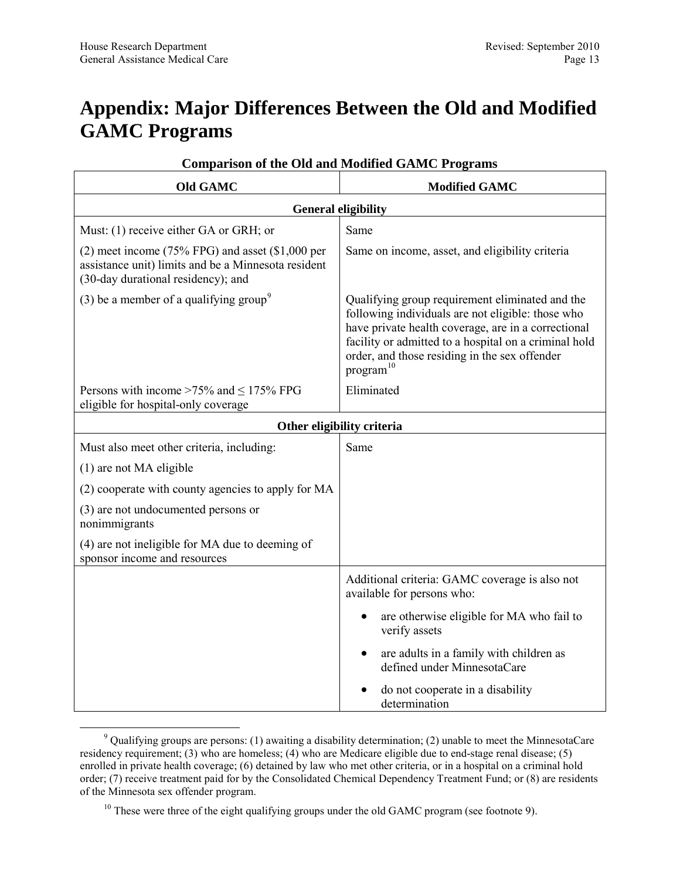### <span id="page-12-1"></span><span id="page-12-0"></span>**Appendix: Major Differences Between the Old and Modified GAMC Programs**

| <b>Old GAMC</b>                                                                                                                                 | <b>Modified GAMC</b>                                                                                                                                                                                                                                                                           |  |  |
|-------------------------------------------------------------------------------------------------------------------------------------------------|------------------------------------------------------------------------------------------------------------------------------------------------------------------------------------------------------------------------------------------------------------------------------------------------|--|--|
| <b>General eligibility</b>                                                                                                                      |                                                                                                                                                                                                                                                                                                |  |  |
| Must: (1) receive either GA or GRH; or                                                                                                          | Same                                                                                                                                                                                                                                                                                           |  |  |
| $(2)$ meet income (75% FPG) and asset (\$1,000 per<br>assistance unit) limits and be a Minnesota resident<br>(30-day durational residency); and | Same on income, asset, and eligibility criteria                                                                                                                                                                                                                                                |  |  |
| (3) be a member of a qualifying group <sup>9</sup>                                                                                              | Qualifying group requirement eliminated and the<br>following individuals are not eligible: those who<br>have private health coverage, are in a correctional<br>facility or admitted to a hospital on a criminal hold<br>order, and those residing in the sex offender<br>program <sup>10</sup> |  |  |
| Persons with income $>75\%$ and $\leq 175\%$ FPG<br>eligible for hospital-only coverage                                                         | Eliminated                                                                                                                                                                                                                                                                                     |  |  |
| Other eligibility criteria                                                                                                                      |                                                                                                                                                                                                                                                                                                |  |  |
| Must also meet other criteria, including:                                                                                                       | Same                                                                                                                                                                                                                                                                                           |  |  |
| $(1)$ are not MA eligible                                                                                                                       |                                                                                                                                                                                                                                                                                                |  |  |
| (2) cooperate with county agencies to apply for MA                                                                                              |                                                                                                                                                                                                                                                                                                |  |  |
| (3) are not undocumented persons or<br>nonimmigrants                                                                                            |                                                                                                                                                                                                                                                                                                |  |  |
| (4) are not ineligible for MA due to deeming of<br>sponsor income and resources                                                                 |                                                                                                                                                                                                                                                                                                |  |  |
|                                                                                                                                                 | Additional criteria: GAMC coverage is also not<br>available for persons who:                                                                                                                                                                                                                   |  |  |
|                                                                                                                                                 | are otherwise eligible for MA who fail to<br>verify assets                                                                                                                                                                                                                                     |  |  |
|                                                                                                                                                 | are adults in a family with children as<br>defined under MinnesotaCare                                                                                                                                                                                                                         |  |  |
|                                                                                                                                                 | do not cooperate in a disability<br>determination                                                                                                                                                                                                                                              |  |  |

#### <span id="page-12-2"></span>**Comparison of the Old and Modified GAMC Programs**

<span id="page-12-3"></span> <sup>9</sup> Qualifying groups are persons: (1) awaiting a disability determination; (2) unable to meet the MinnesotaCare residency requirement; (3) who are homeless; (4) who are Medicare eligible due to end-stage renal disease; (5) enrolled in private health coverage; (6) detained by law who met other criteria, or in a hospital on a criminal hold order; (7) receive treatment paid for by the Consolidated Chemical Dependency Treatment Fund; or (8) are residents of the Minnesota sex offender program.

<span id="page-12-4"></span> $10$  These were three of the eight qualifying groups under the old GAMC program (see footnote [9\)](#page-12-2).